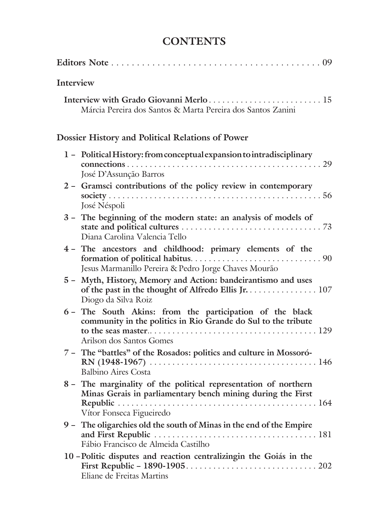## **CONTENTS**

| Interview |                                                                                                                                                            |
|-----------|------------------------------------------------------------------------------------------------------------------------------------------------------------|
|           | Interview with Grado Giovanni Merlo  15<br>Márcia Pereira dos Santos & Marta Pereira dos Santos Zanini                                                     |
|           | Dossier History and Political Relations of Power                                                                                                           |
|           | 1 - Political History: from conceptual expansion to intradisciplinary<br>José D'Assunção Barros                                                            |
|           | 2 - Gramsci contributions of the policy review in contemporary<br>José Néspoli                                                                             |
|           | 3 - The beginning of the modern state: an analysis of models of<br>Diana Carolina Valencia Tello                                                           |
|           | 4 - The ancestors and childhood: primary elements of the<br>Jesus Marmanillo Pereira & Pedro Jorge Chaves Mourão                                           |
| $5 -$     | Myth, History, Memory and Action: bandeirantismo and uses<br>of the past in the thought of Alfredo Ellis Jr. 107<br>Diogo da Silva Roiz                    |
|           | 6 - The South Akins: from the participation of the black<br>community in the politics in Rio Grande do Sul to the tribute<br>Arilson dos Santos Gomes      |
|           | 7 - The "battles" of the Rosados: politics and culture in Mossoró-<br><b>Balbino Aires Costa</b>                                                           |
|           | 8 - The marginality of the political representation of northern<br>Minas Gerais in parliamentary bench mining during the First<br>Vítor Fonseca Figueiredo |
|           | 9 - The oligarchies old the south of Minas in the end of the Empire<br>Fábio Francisco de Almeida Castilho                                                 |
|           | 10 - Politic disputes and reaction centralizingin the Goiás in the<br>Eliane de Freitas Martins                                                            |